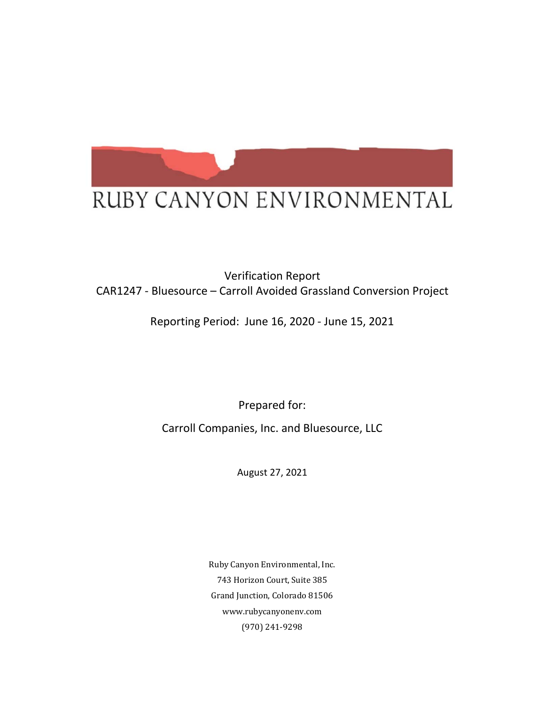

#### Verification Report CAR1247 - Bluesource – Carroll Avoided Grassland Conversion Project

#### Reporting Period: June 16, 2020 - June 15, 2021

Prepared for:

Carroll Companies, Inc. and Bluesource, LLC

August 27, 2021

Ruby Canyon Environmental, Inc. 743 Horizon Court, Suite 385 Grand Junction, Colorado 81506 www.rubycanyonenv.com (970) 241-9298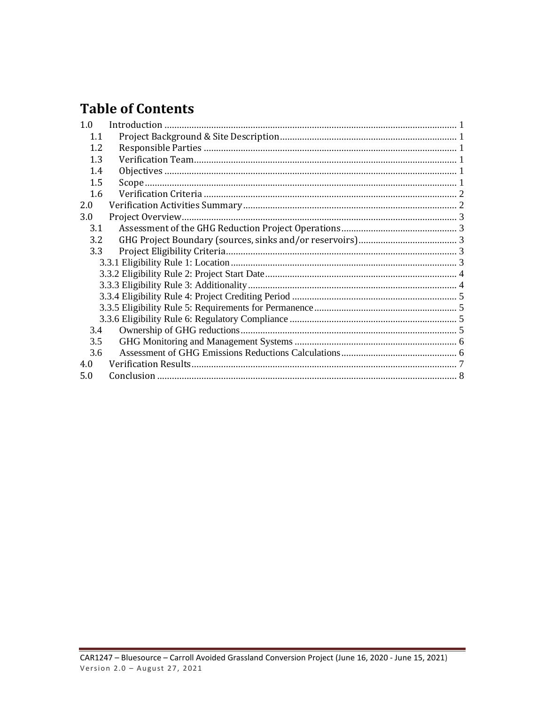# **Table of Contents**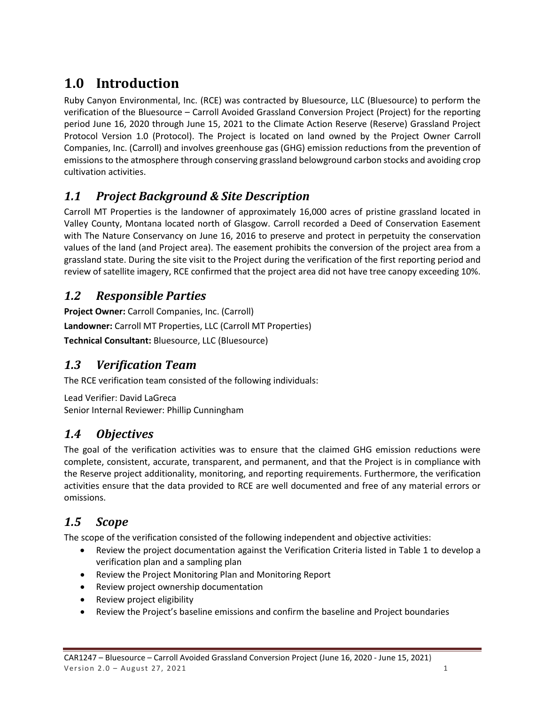# <span id="page-2-0"></span>**1.0 Introduction**

Ruby Canyon Environmental, Inc. (RCE) was contracted by Bluesource, LLC (Bluesource) to perform the verification of the [Blues](https://thereserve1.apx.com/myModule/reg/TabProjectSetup.asp?tablename=prj&action=update&id1=509&pType=0&Type=PRO&ad=MP&act=update&r=617&dtCOI=1)ource – Carroll Avoided Grassland Conversion Project (Project) for the reporting period June 16, 2020 through June 15, 2021 to the Climate Action Reserve (Reserve) Grassland Project Protocol Version 1.0 (Protocol). The Project is located on land owned by the Project Owner Carroll Companies, Inc. (Carroll) and involves greenhouse gas (GHG) emission reductions from the prevention of emissions to the atmosphere through conserving grassland belowground carbon stocks and avoiding crop cultivation activities.

## <span id="page-2-1"></span>*1.1 Project Background & Site Description*

Carroll MT Properties is the landowner of approximately 16,000 acres of pristine grassland located in Valley County, Montana located north of Glasgow. Carroll recorded a Deed of Conservation Easement with The Nature Conservancy on June 16, 2016 to preserve and protect in perpetuity the conservation values of the land (and Project area). The easement prohibits the conversion of the project area from a grassland state. During the site visit to the Project during the verification of the first reporting period and review of satellite imagery, RCE confirmed that the project area did not have tree canopy exceeding 10%.

## <span id="page-2-2"></span>*1.2 Responsible Parties*

**Project Owner:** Carroll Companies, Inc. (Carroll) **Landowner:** Carroll MT Properties, LLC (Carroll MT Properties) **Technical Consultant:** Bluesource, LLC (Bluesource)

### <span id="page-2-3"></span>*1.3 Verification Team*

The RCE verification team consisted of the following individuals:

Lead Verifier: David LaGreca Senior Internal Reviewer: Phillip Cunningham

## <span id="page-2-4"></span>*1.4 Objectives*

The goal of the verification activities was to ensure that the claimed GHG emission reductions were complete, consistent, accurate, transparent, and permanent, and that the Project is in compliance with the Reserve project additionality, monitoring, and reporting requirements. Furthermore, the verification activities ensure that the data provided to RCE are well documented and free of any material errors or omissions.

# <span id="page-2-5"></span>*1.5 Scope*

The scope of the verification consisted of the following independent and objective activities:

- Review the project documentation against the Verification Criteria listed in Table 1 to develop a verification plan and a sampling plan
- Review the Project Monitoring Plan and Monitoring Report
- Review project ownership documentation
- Review project eligibility
- Review the Project's baseline emissions and confirm the baseline and Project boundaries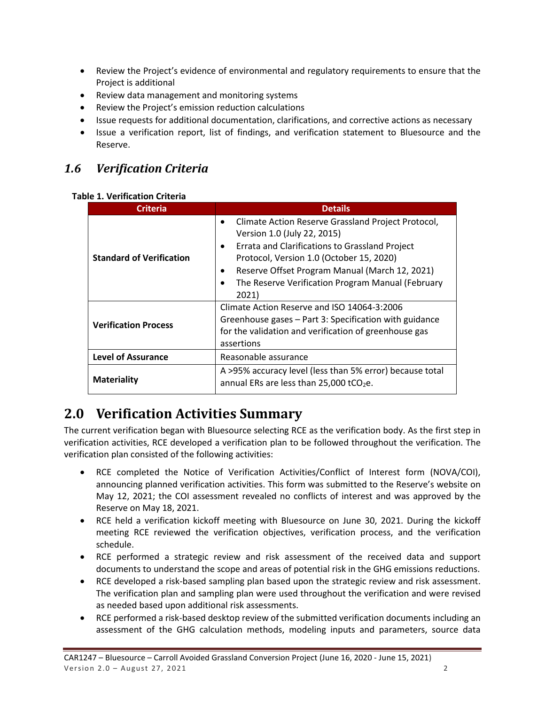- Review the Project's evidence of environmental and regulatory requirements to ensure that the Project is additional
- Review data management and monitoring systems
- Review the Project's emission reduction calculations
- Issue requests for additional documentation, clarifications, and corrective actions as necessary
- Issue a verification report, list of findings, and verification statement to Bluesource and the Reserve.

## <span id="page-3-0"></span>*1.6 Verification Criteria*

#### **Table 1. Verification Criteria**

| <b>Criteria</b>                 | <b>Details</b>                                                                                                                                                                                                                                                                                                                              |  |  |
|---------------------------------|---------------------------------------------------------------------------------------------------------------------------------------------------------------------------------------------------------------------------------------------------------------------------------------------------------------------------------------------|--|--|
| <b>Standard of Verification</b> | Climate Action Reserve Grassland Project Protocol,<br>$\bullet$<br>Version 1.0 (July 22, 2015)<br>Errata and Clarifications to Grassland Project<br>$\bullet$<br>Protocol, Version 1.0 (October 15, 2020)<br>Reserve Offset Program Manual (March 12, 2021)<br>$\bullet$<br>The Reserve Verification Program Manual (February<br>٠<br>2021) |  |  |
| <b>Verification Process</b>     | Climate Action Reserve and ISO 14064-3:2006<br>Greenhouse gases – Part 3: Specification with guidance<br>for the validation and verification of greenhouse gas<br>assertions                                                                                                                                                                |  |  |
| <b>Level of Assurance</b>       | Reasonable assurance                                                                                                                                                                                                                                                                                                                        |  |  |
| <b>Materiality</b>              | A >95% accuracy level (less than 5% error) because total<br>annual ERs are less than $25,000$ tCO <sub>2</sub> e.                                                                                                                                                                                                                           |  |  |

# <span id="page-3-1"></span>**2.0 Verification Activities Summary**

The current verification began with Bluesource selecting RCE as the verification body. As the first step in verification activities, RCE developed a verification plan to be followed throughout the verification. The verification plan consisted of the following activities:

- RCE completed the Notice of Verification Activities/Conflict of Interest form (NOVA/COI), announcing planned verification activities. This form was submitted to the Reserve's website on May 12, 2021; the COI assessment revealed no conflicts of interest and was approved by the Reserve on May 18, 2021.
- RCE held a verification kickoff meeting with Bluesource on June 30, 2021. During the kickoff meeting RCE reviewed the verification objectives, verification process, and the verification schedule.
- RCE performed a strategic review and risk assessment of the received data and support documents to understand the scope and areas of potential risk in the GHG emissions reductions.
- RCE developed a risk-based sampling plan based upon the strategic review and risk assessment. The verification plan and sampling plan were used throughout the verification and were revised as needed based upon additional risk assessments.
- RCE performed a risk-based desktop review of the submitted verification documents including an assessment of the GHG calculation methods, modeling inputs and parameters, source data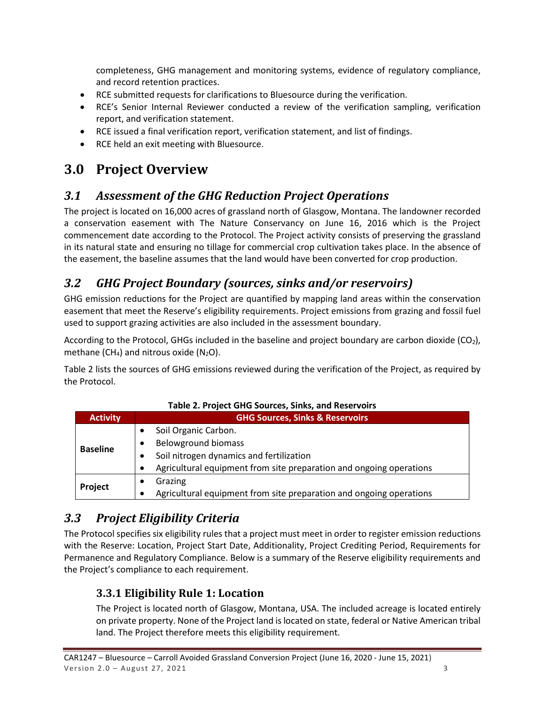completeness, GHG management and monitoring systems, evidence of regulatory compliance, and record retention practices.

- RCE submitted requests for clarifications to Bluesource during the verification.
- RCE's Senior Internal Reviewer conducted a review of the verification sampling, verification report, and verification statement.
- RCE issued a final verification report, verification statement, and list of findings.
- RCE held an exit meeting with Bluesource.

# <span id="page-4-0"></span>**3.0 Project Overview**

## <span id="page-4-1"></span>*3.1 Assessment of the GHG Reduction Project Operations*

The project is located on 16,000 acres of grassland north of Glasgow, Montana. The landowner recorded a conservation easement with The Nature Conservancy on June 16, 2016 which is the Project commencement date according to the Protocol. The Project activity consists of preserving the grassland in its natural state and ensuring no tillage for commercial crop cultivation takes place. In the absence of the easement, the baseline assumes that the land would have been converted for crop production.

# <span id="page-4-2"></span>*3.2 GHG Project Boundary (sources, sinks and/or reservoirs)*

GHG emission reductions for the Project are quantified by mapping land areas within the conservation easement that meet the Reserve's eligibility requirements. Project emissions from grazing and fossil fuel used to support grazing activities are also included in the assessment boundary.

According to the Protocol, GHGs included in the baseline and project boundary are carbon dioxide (CO2), methane (CH<sub>4</sub>) and nitrous oxide (N<sub>2</sub>O).

Table 2 lists the sources of GHG emissions reviewed during the verification of the Project, as required by the Protocol.

| TUDIC ET I TUJCCI QITQ SOUTCCS, SITINS, UITU TICSCI VOITS |                                                                                  |  |  |  |  |
|-----------------------------------------------------------|----------------------------------------------------------------------------------|--|--|--|--|
| <b>Activity</b>                                           | <b>GHG Sources, Sinks &amp; Reservoirs</b>                                       |  |  |  |  |
| <b>Baseline</b>                                           | Soil Organic Carbon.                                                             |  |  |  |  |
|                                                           | <b>Belowground biomass</b>                                                       |  |  |  |  |
|                                                           | Soil nitrogen dynamics and fertilization                                         |  |  |  |  |
|                                                           | Agricultural equipment from site preparation and ongoing operations<br>$\bullet$ |  |  |  |  |
| Project                                                   | Grazing                                                                          |  |  |  |  |
|                                                           | Agricultural equipment from site preparation and ongoing operations              |  |  |  |  |

#### **Table 2. Project GHG Sources, Sinks, and Reservoirs**

# <span id="page-4-3"></span>*3.3 Project Eligibility Criteria*

The Protocol specifies six eligibility rules that a project must meet in order to register emission reductions with the Reserve: Location, Project Start Date, Additionality, Project Crediting Period, Requirements for Permanence and Regulatory Compliance. Below is a summary of the Reserve eligibility requirements and the Project's compliance to each requirement.

## <span id="page-4-4"></span>**3.3.1 Eligibility Rule 1: Location**

The Project is located north of Glasgow, Montana, USA. The included acreage is located entirely on private property. None of the Project land is located on state, federal or Native American tribal land. The Project therefore meets this eligibility requirement.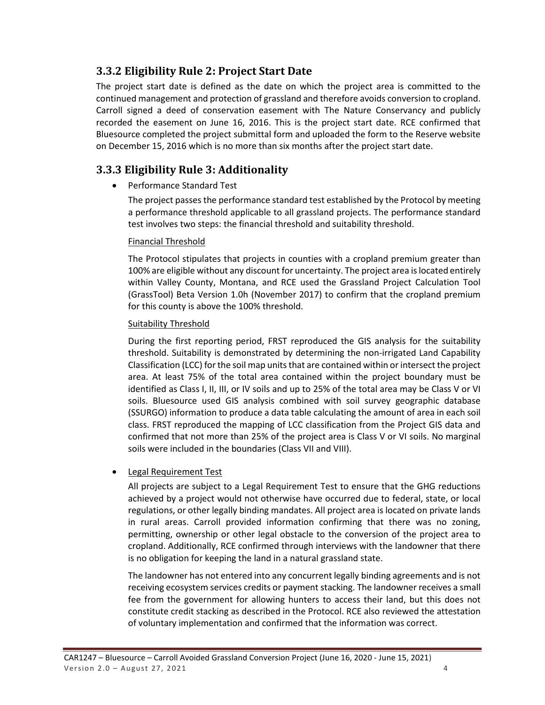#### <span id="page-5-0"></span>**3.3.2 Eligibility Rule 2: Project Start Date**

The project start date is defined as the date on which the project area is committed to the continued management and protection of grassland and therefore avoids conversion to cropland. Carroll signed a deed of conservation easement with The Nature Conservancy and publicly recorded the easement on June 16, 2016. This is the project start date. RCE confirmed that Bluesource completed the project submittal form and uploaded the form to the Reserve website on December 15, 2016 which is no more than six months after the project start date.

#### <span id="page-5-1"></span>**3.3.3 Eligibility Rule 3: Additionality**

• Performance Standard Test

The project passes the performance standard test established by the Protocol by meeting a performance threshold applicable to all grassland projects. The performance standard test involves two steps: the financial threshold and suitability threshold.

#### Financial Threshold

The Protocol stipulates that projects in counties with a cropland premium greater than 100% are eligible without any discount for uncertainty. The project area is located entirely within Valley County, Montana, and RCE used the Grassland Project Calculation Tool (GrassTool) Beta Version 1.0h (November 2017) to confirm that the cropland premium for this county is above the 100% threshold.

#### Suitability Threshold

During the first reporting period, FRST reproduced the GIS analysis for the suitability threshold. Suitability is demonstrated by determining the non-irrigated Land Capability Classification (LCC) for the soil map units that are contained within or intersect the project area. At least 75% of the total area contained within the project boundary must be identified as Class I, II, III, or IV soils and up to 25% of the total area may be Class V or VI soils. Bluesource used GIS analysis combined with soil survey geographic database (SSURGO) information to produce a data table calculating the amount of area in each soil class. FRST reproduced the mapping of LCC classification from the Project GIS data and confirmed that not more than 25% of the project area is Class V or VI soils. No marginal soils were included in the boundaries (Class VII and VIII).

#### **Legal Requirement Test**

All projects are subject to a Legal Requirement Test to ensure that the GHG reductions achieved by a project would not otherwise have occurred due to federal, state, or local regulations, or other legally binding mandates. All project area is located on private lands in rural areas. Carroll provided information confirming that there was no zoning, permitting, ownership or other legal obstacle to the conversion of the project area to cropland. Additionally, RCE confirmed through interviews with the landowner that there is no obligation for keeping the land in a natural grassland state.

The landowner has not entered into any concurrent legally binding agreements and is not receiving ecosystem services credits or payment stacking. The landowner receives a small fee from the government for allowing hunters to access their land, but this does not constitute credit stacking as described in the Protocol. RCE also reviewed the attestation of voluntary implementation and confirmed that the information was correct.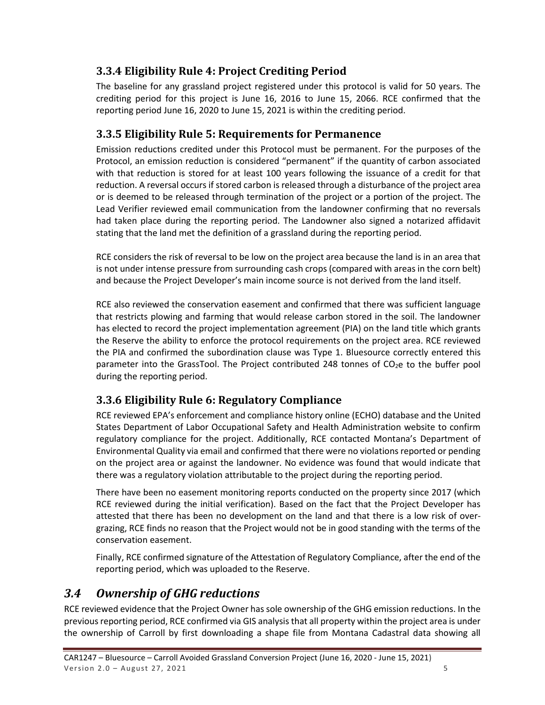### <span id="page-6-0"></span>**3.3.4 Eligibility Rule 4: Project Crediting Period**

The baseline for any grassland project registered under this protocol is valid for 50 years. The crediting period for this project is June 16, 2016 to June 15, 2066. RCE confirmed that the reporting period June 16, 2020 to June 15, 2021 is within the crediting period.

#### <span id="page-6-1"></span>**3.3.5 Eligibility Rule 5: Requirements for Permanence**

Emission reductions credited under this Protocol must be permanent. For the purposes of the Protocol, an emission reduction is considered "permanent" if the quantity of carbon associated with that reduction is stored for at least 100 years following the issuance of a credit for that reduction. A reversal occurs if stored carbon is released through a disturbance of the project area or is deemed to be released through termination of the project or a portion of the project. The Lead Verifier reviewed email communication from the landowner confirming that no reversals had taken place during the reporting period. The Landowner also signed a notarized affidavit stating that the land met the definition of a grassland during the reporting period.

RCE considers the risk of reversal to be low on the project area because the land is in an area that is not under intense pressure from surrounding cash crops (compared with areas in the corn belt) and because the Project Developer's main income source is not derived from the land itself.

RCE also reviewed the conservation easement and confirmed that there was sufficient language that restricts plowing and farming that would release carbon stored in the soil. The landowner has elected to record the project implementation agreement (PIA) on the land title which grants the Reserve the ability to enforce the protocol requirements on the project area. RCE reviewed the PIA and confirmed the subordination clause was Type 1. Bluesource correctly entered this parameter into the GrassTool. The Project contributed 248 tonnes of  $CO<sub>2</sub>e$  to the buffer pool during the reporting period.

### <span id="page-6-2"></span>**3.3.6 Eligibility Rule 6: Regulatory Compliance**

RCE reviewed EPA's enforcement and compliance history online (ECHO) database and the United States Department of Labor Occupational Safety and Health Administration website to confirm regulatory compliance for the project. Additionally, RCE contacted Montana's Department of Environmental Quality via email and confirmed that there were no violations reported or pending on the project area or against the landowner. No evidence was found that would indicate that there was a regulatory violation attributable to the project during the reporting period.

There have been no easement monitoring reports conducted on the property since 2017 (which RCE reviewed during the initial verification). Based on the fact that the Project Developer has attested that there has been no development on the land and that there is a low risk of overgrazing, RCE finds no reason that the Project would not be in good standing with the terms of the conservation easement.

Finally, RCE confirmed signature of the Attestation of Regulatory Compliance, after the end of the reporting period, which was uploaded to the Reserve.

## <span id="page-6-3"></span>*3.4 Ownership of GHG reductions*

RCE reviewed evidence that the Project Owner has sole ownership of the GHG emission reductions. In the previous reporting period, RCE confirmed via GIS analysis that all property within the project area is under the ownership of Carroll by first downloading a shape file from Montana Cadastral data showing all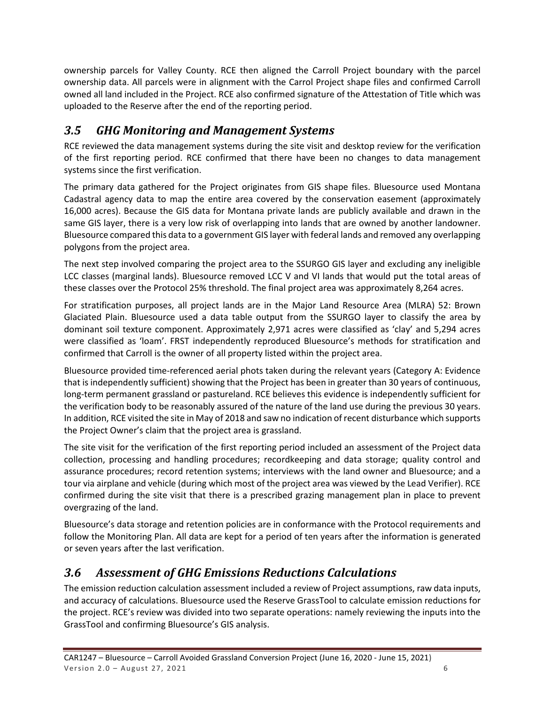ownership parcels for Valley County. RCE then aligned the Carroll Project boundary with the parcel ownership data. All parcels were in alignment with the Carrol Project shape files and confirmed Carroll owned all land included in the Project. RCE also confirmed signature of the Attestation of Title which was uploaded to the Reserve after the end of the reporting period.

## <span id="page-7-0"></span>*3.5 GHG Monitoring and Management Systems*

RCE reviewed the data management systems during the site visit and desktop review for the verification of the first reporting period. RCE confirmed that there have been no changes to data management systems since the first verification.

The primary data gathered for the Project originates from GIS shape files. Bluesource used Montana Cadastral agency data to map the entire area covered by the conservation easement (approximately 16,000 acres). Because the GIS data for Montana private lands are publicly available and drawn in the same GIS layer, there is a very low risk of overlapping into lands that are owned by another landowner. Bluesource compared this data to a government GIS layer with federal lands and removed any overlapping polygons from the project area.

The next step involved comparing the project area to the SSURGO GIS layer and excluding any ineligible LCC classes (marginal lands). Bluesource removed LCC V and VI lands that would put the total areas of these classes over the Protocol 25% threshold. The final project area was approximately 8,264 acres.

For stratification purposes, all project lands are in the Major Land Resource Area (MLRA) 52: Brown Glaciated Plain. Bluesource used a data table output from the SSURGO layer to classify the area by dominant soil texture component. Approximately 2,971 acres were classified as 'clay' and 5,294 acres were classified as 'loam'. FRST independently reproduced Bluesource's methods for stratification and confirmed that Carroll is the owner of all property listed within the project area.

Bluesource provided time-referenced aerial phots taken during the relevant years (Category A: Evidence that is independently sufficient) showing that the Project has been in greater than 30 years of continuous, long-term permanent grassland or pastureland. RCE believes this evidence is independently sufficient for the verification body to be reasonably assured of the nature of the land use during the previous 30 years. In addition, RCE visited the site in May of 2018 and saw no indication of recent disturbance which supports the Project Owner's claim that the project area is grassland.

The site visit for the verification of the first reporting period included an assessment of the Project data collection, processing and handling procedures; recordkeeping and data storage; quality control and assurance procedures; record retention systems; interviews with the land owner and Bluesource; and a tour via airplane and vehicle (during which most of the project area was viewed by the Lead Verifier). RCE confirmed during the site visit that there is a prescribed grazing management plan in place to prevent overgrazing of the land.

Bluesource's data storage and retention policies are in conformance with the Protocol requirements and follow the Monitoring Plan. All data are kept for a period of ten years after the information is generated or seven years after the last verification.

## <span id="page-7-1"></span>*3.6 Assessment of GHG Emissions Reductions Calculations*

The emission reduction calculation assessment included a review of Project assumptions, raw data inputs, and accuracy of calculations. Bluesource used the Reserve GrassTool to calculate emission reductions for the project. RCE's review was divided into two separate operations: namely reviewing the inputs into the GrassTool and confirming Bluesource's GIS analysis.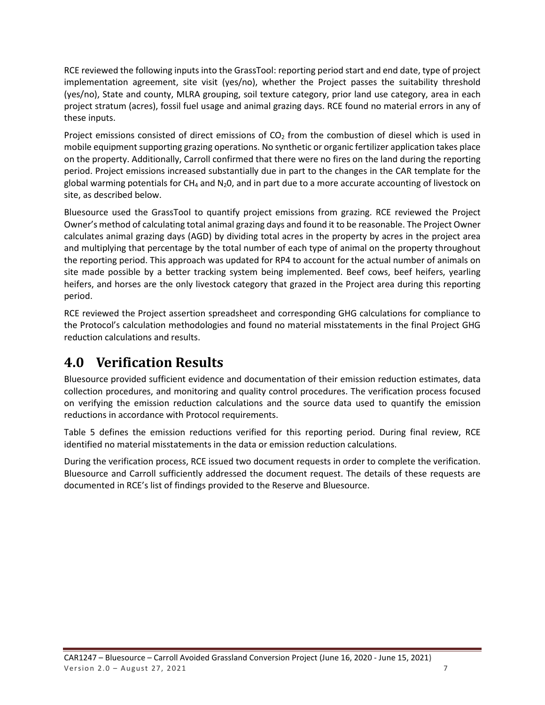RCE reviewed the following inputs into the GrassTool: reporting period start and end date, type of project implementation agreement, site visit (yes/no), whether the Project passes the suitability threshold (yes/no), State and county, MLRA grouping, soil texture category, prior land use category, area in each project stratum (acres), fossil fuel usage and animal grazing days. RCE found no material errors in any of these inputs.

Project emissions consisted of direct emissions of  $CO<sub>2</sub>$  from the combustion of diesel which is used in mobile equipment supporting grazing operations. No synthetic or organic fertilizer application takes place on the property. Additionally, Carroll confirmed that there were no fires on the land during the reporting period. Project emissions increased substantially due in part to the changes in the CAR template for the global warming potentials for  $CH_4$  and N<sub>2</sub>0, and in part due to a more accurate accounting of livestock on site, as described below.

Bluesource used the GrassTool to quantify project emissions from grazing. RCE reviewed the Project Owner's method of calculating total animal grazing days and found it to be reasonable. The Project Owner calculates animal grazing days (AGD) by dividing total acres in the property by acres in the project area and multiplying that percentage by the total number of each type of animal on the property throughout the reporting period. This approach was updated for RP4 to account for the actual number of animals on site made possible by a better tracking system being implemented. Beef cows, beef heifers, yearling heifers, and horses are the only livestock category that grazed in the Project area during this reporting period.

RCE reviewed the Project assertion spreadsheet and corresponding GHG calculations for compliance to the Protocol's calculation methodologies and found no material misstatements in the final Project GHG reduction calculations and results.

# <span id="page-8-0"></span>**4.0 Verification Results**

Bluesource provided sufficient evidence and documentation of their emission reduction estimates, data collection procedures, and monitoring and quality control procedures. The verification process focused on verifying the emission reduction calculations and the source data used to quantify the emission reductions in accordance with Protocol requirements.

Table 5 defines the emission reductions verified for this reporting period. During final review, RCE identified no material misstatements in the data or emission reduction calculations.

During the verification process, RCE issued two document requests in order to complete the verification. Bluesource and Carroll sufficiently addressed the document request. The details of these requests are documented in RCE's list of findings provided to the Reserve and Bluesource.